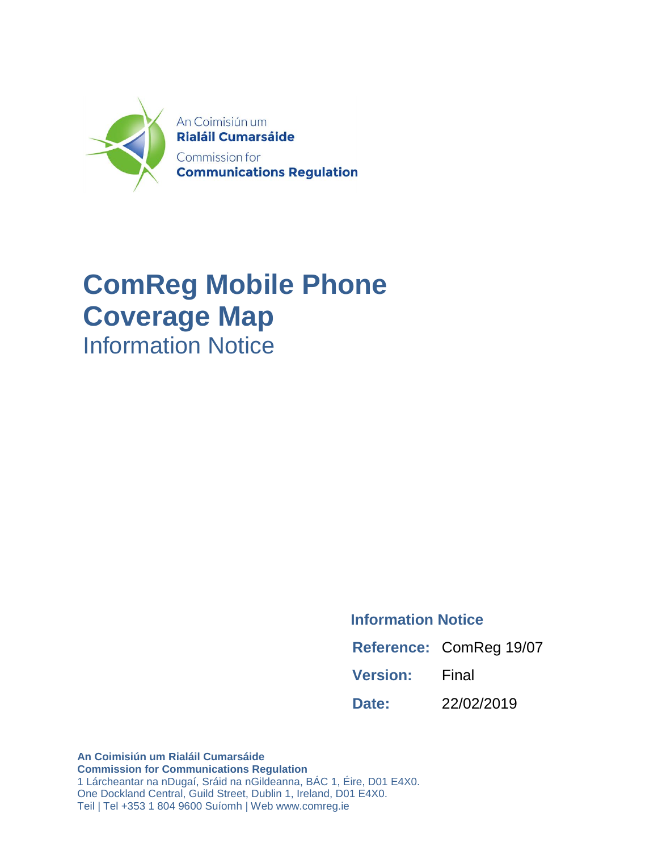

# **ComReg Mobile Phone Coverage Map** Information Notice

 **Information Notice**

**Reference:** ComReg 19/07

**Version:** Final

**Date:** 22/02/2019

**An Coimisiún um Rialáil Cumarsáide Commission for Communications Regulation** 1 Lárcheantar na nDugaí, Sráid na nGildeanna, BÁC 1, Éire, D01 E4X0. One Dockland Central, Guild Street, Dublin 1, Ireland, D01 E4X0. Teil | Tel +353 1 804 9600 Suíomh | Web www.comreg.ie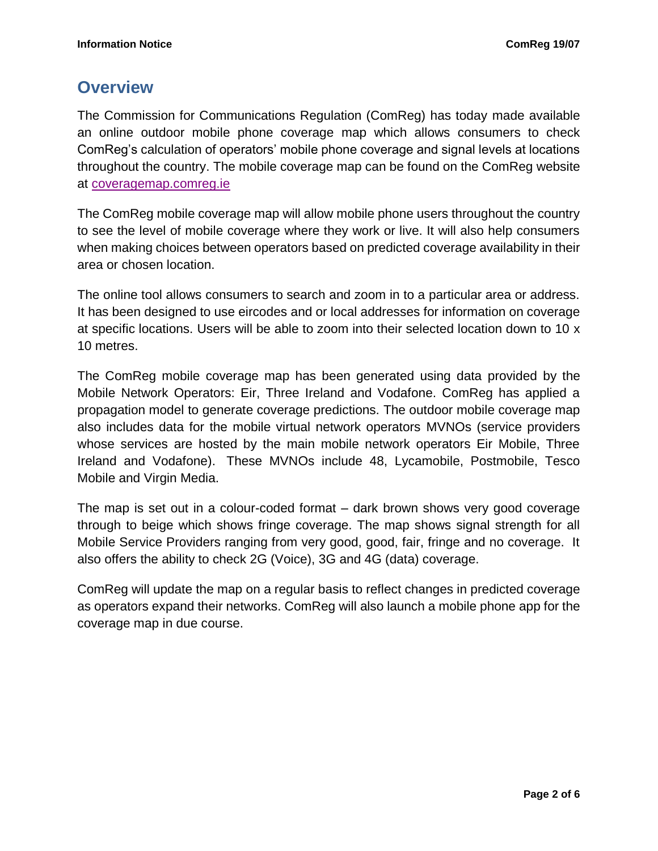#### **Overview**

The Commission for Communications Regulation (ComReg) has today made available an online outdoor mobile phone coverage map which allows consumers to check ComReg's calculation of operators' mobile phone coverage and signal levels at locations throughout the country. The mobile coverage map can be found on the ComReg website at [coveragemap.comreg.ie](https://coveragemap.comreg.ie/map)

The ComReg mobile coverage map will allow mobile phone users throughout the country to see the level of mobile coverage where they work or live. It will also help consumers when making choices between operators based on predicted coverage availability in their area or chosen location.

The online tool allows consumers to search and zoom in to a particular area or address. It has been designed to use eircodes and or local addresses for information on coverage at specific locations. Users will be able to zoom into their selected location down to 10 x 10 metres.

The ComReg mobile coverage map has been generated using data provided by the Mobile Network Operators: Eir, Three Ireland and Vodafone. ComReg has applied a propagation model to generate coverage predictions. The outdoor mobile coverage map also includes data for the mobile virtual network operators MVNOs (service providers whose services are hosted by the main mobile network operators Eir Mobile, Three Ireland and Vodafone). These MVNOs include 48, Lycamobile, Postmobile, Tesco Mobile and Virgin Media.

The map is set out in a colour-coded format – dark brown shows very good coverage through to beige which shows fringe coverage. The map shows signal strength for all Mobile Service Providers ranging from very good, good, fair, fringe and no coverage. It also offers the ability to check 2G (Voice), 3G and 4G (data) coverage.

ComReg will update the map on a regular basis to reflect changes in predicted coverage as operators expand their networks. ComReg will also launch a mobile phone app for the coverage map in due course.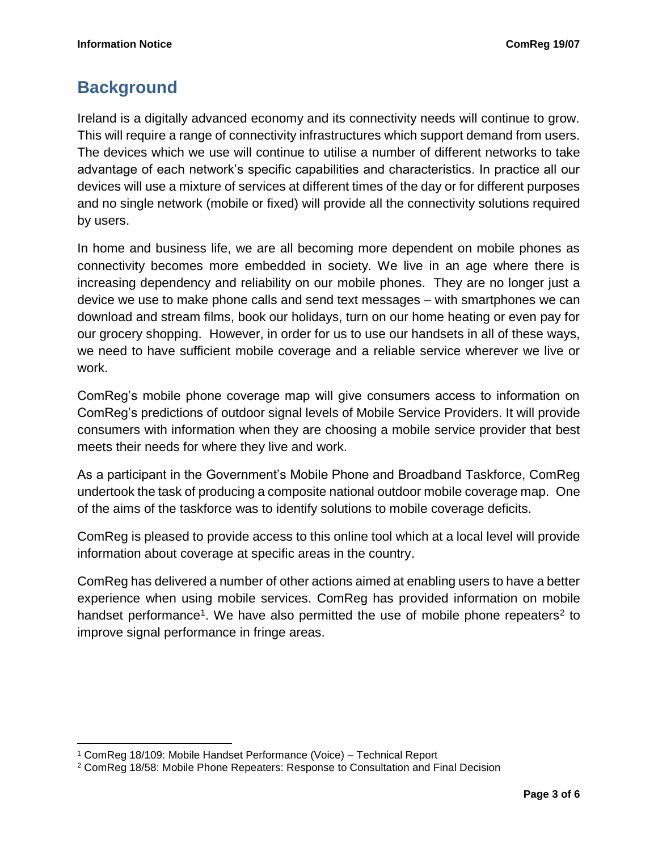## **Background**

Ireland is a digitally advanced economy and its connectivity needs will continue to grow. This will require a range of connectivity infrastructures which support demand from users. The devices which we use will continue to utilise a number of different networks to take advantage of each network's specific capabilities and characteristics. In practice all our devices will use a mixture of services at different times of the day or for different purposes and no single network (mobile or fixed) will provide all the connectivity solutions required by users.

In home and business life, we are all becoming more dependent on mobile phones as connectivity becomes more embedded in society. We live in an age where there is increasing dependency and reliability on our mobile phones. They are no longer just a device we use to make phone calls and send text messages – with smartphones we can download and stream films, book our holidays, turn on our home heating or even pay for our grocery shopping. However, in order for us to use our handsets in all of these ways, we need to have sufficient mobile coverage and a reliable service wherever we live or work.

ComReg's mobile phone coverage map will give consumers access to information on ComReg's predictions of outdoor signal levels of Mobile Service Providers. It will provide consumers with information when they are choosing a mobile service provider that best meets their needs for where they live and work.

As a participant in the Government's Mobile Phone and Broadband Taskforce, ComReg undertook the task of producing a composite national outdoor mobile coverage map. One of the aims of the taskforce was to identify solutions to mobile coverage deficits.

ComReg is pleased to provide access to this online tool which at a local level will provide information about coverage at specific areas in the country.

ComReg has delivered a number of other actions aimed at enabling users to have a better experience when using mobile services. ComReg has provided information on mobile handset performance<sup>1</sup>. We have also permitted the use of mobile phone repeaters<sup>2</sup> to improve signal performance in fringe areas.

<sup>1</sup> ComReg 18/109: Mobile Handset Performance (Voice) – Technical Report

<sup>2</sup> ComReg 18/58: Mobile Phone Repeaters: Response to Consultation and Final Decision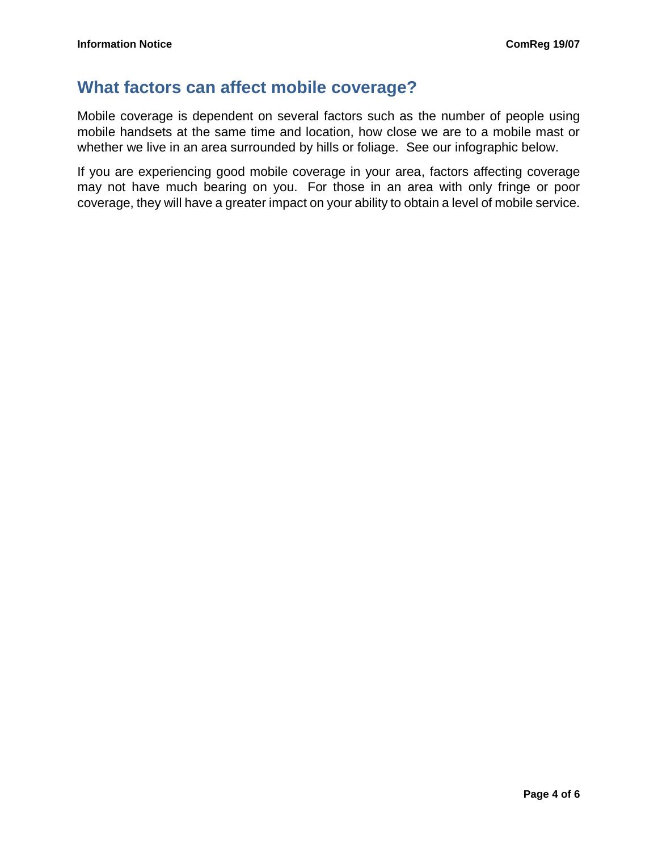#### **What factors can affect mobile coverage?**

Mobile coverage is dependent on several factors such as the number of people using mobile handsets at the same time and location, how close we are to a mobile mast or whether we live in an area surrounded by hills or foliage. See our infographic below.

If you are experiencing good mobile coverage in your area, factors affecting coverage may not have much bearing on you. For those in an area with only fringe or poor coverage, they will have a greater impact on your ability to obtain a level of mobile service.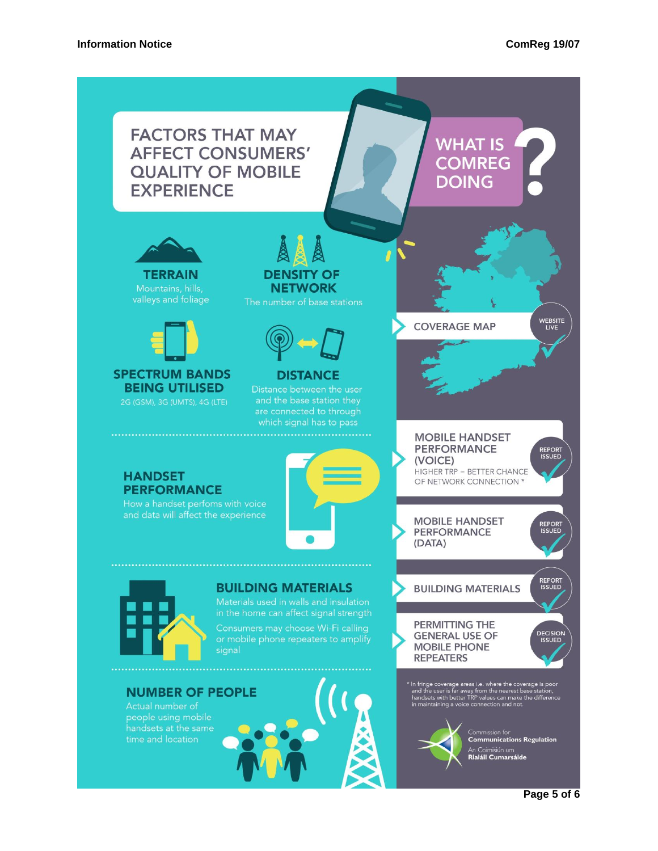